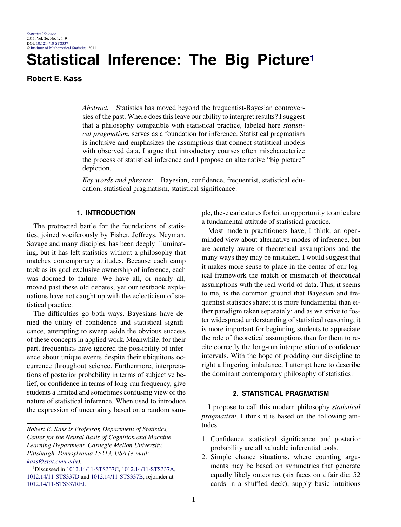# <span id="page-0-0"></span>**Statistical Inference: The Big Picture1**

**Robert E. Kass**

*Abstract.* Statistics has moved beyond the frequentist-Bayesian controversies of the past. Where does this leave our ability to interpret results? I suggest that a philosophy compatible with statistical practice, labeled here *statistical pragmatism*, serves as a foundation for inference. Statistical pragmatism is inclusive and emphasizes the assumptions that connect statistical models with observed data. I argue that introductory courses often mischaracterize the process of statistical inference and I propose an alternative "big picture" depiction.

*Key words and phrases:* Bayesian, confidence, frequentist, statistical education, statistical pragmatism, statistical significance.

### **1. INTRODUCTION**

The protracted battle for the foundations of statistics, joined vociferously by Fisher, Jeffreys, Neyman, Savage and many disciples, has been deeply illuminating, but it has left statistics without a philosophy that matches contemporary attitudes. Because each camp took as its goal exclusive ownership of inference, each was doomed to failure. We have all, or nearly all, moved past these old debates, yet our textbook explanations have not caught up with the eclecticism of statistical practice.

The difficulties go both ways. Bayesians have denied the utility of confidence and statistical significance, attempting to sweep aside the obvious success of these concepts in applied work. Meanwhile, for their part, frequentists have ignored the possibility of inference about unique events despite their ubiquitous occurrence throughout science. Furthermore, interpretations of posterior probability in terms of subjective belief, or confidence in terms of long-run frequency, give students a limited and sometimes confusing view of the nature of statistical inference. When used to introduce the expression of uncertainty based on a random sample, these caricatures forfeit an opportunity to articulate a fundamental attitude of statistical practice.

Most modern practitioners have, I think, an openminded view about alternative modes of inference, but are acutely aware of theoretical assumptions and the many ways they may be mistaken. I would suggest that it makes more sense to place in the center of our logical framework the match or mismatch of theoretical assumptions with the real world of data. This, it seems to me, is the common ground that Bayesian and frequentist statistics share; it is more fundamental than either paradigm taken separately; and as we strive to foster widespread understanding of statistical reasoning, it is more important for beginning students to appreciate the role of theoretical assumptions than for them to recite correctly the long-run interpretation of confidence intervals. With the hope of prodding our discipline to right a lingering imbalance, I attempt here to describe the dominant contemporary philosophy of statistics.

## **2. STATISTICAL PRAGMATISM**

I propose to call this modern philosophy *statistical pragmatism*. I think it is based on the following attitudes:

- 1. Confidence, statistical significance, and posterior probability are all valuable inferential tools.
- 2. Simple chance situations, where counting arguments may be based on symmetries that generate equally likely outcomes (six faces on a fair die; 52 cards in a shuffled deck), supply basic intuitions

*Robert E. Kass is Professor, Department of Statistics, Center for the Neural Basis of Cognition and Machine Learning Department, Carnegie Mellon University, Pittsburgh, Pennsylvania 15213, USA (e-mail: [kass@stat.cmu.edu](mailto:kass@stat.cmu.edu)).*

<sup>1</sup>Discussed in [1012.14/11-STS337C,](http://dx.doi.org/1012.14/11-STS337C) [1012.14/11-STS337A](http://dx.doi.org/1012.14/11-STS337A), [1012.14/11-STS337D](http://dx.doi.org/1012.14/11-STS337D) and [1012.14/11-STS337B](http://dx.doi.org/1012.14/11-STS337B); rejoinder at [1012.14/11-STS337REJ.](http://dx.doi.org/1012.14/11-STS337REJ)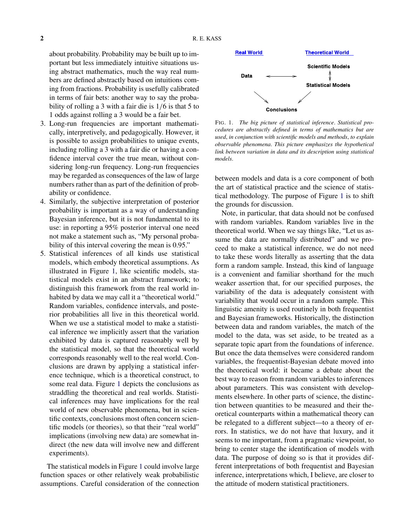<span id="page-1-0"></span>about probability. Probability may be built up to important but less immediately intuitive situations using abstract mathematics, much the way real numbers are defined abstractly based on intuitions coming from fractions. Probability is usefully calibrated in terms of fair bets: another way to say the probability of rolling a 3 with a fair die is 1*/*6 is that 5 to 1 odds against rolling a 3 would be a fair bet.

- 3. Long-run frequencies are important mathematically, interpretively, and pedagogically. However, it is possible to assign probabilities to unique events, including rolling a 3 with a fair die or having a confidence interval cover the true mean, without considering long-run frequency. Long-run frequencies may be regarded as consequences of the law of large numbers rather than as part of the definition of probability or confidence.
- 4. Similarly, the subjective interpretation of posterior probability is important as a way of understanding Bayesian inference, but it is not fundamental to its use: in reporting a 95% posterior interval one need not make a statement such as, "My personal probability of this interval covering the mean is 0.95."
- 5. Statistical inferences of all kinds use statistical models, which embody theoretical assumptions. As illustrated in Figure 1, like scientific models, statistical models exist in an abstract framework; to distinguish this framework from the real world inhabited by data we may call it a "theoretical world." Random variables, confidence intervals, and posterior probabilities all live in this theoretical world. When we use a statistical model to make a statistical inference we implicitly assert that the variation exhibited by data is captured reasonably well by the statistical model, so that the theoretical world corresponds reasonably well to the real world. Conclusions are drawn by applying a statistical inference technique, which is a theoretical construct, to some real data. Figure 1 depicts the conclusions as straddling the theoretical and real worlds. Statistical inferences may have implications for the real world of new observable phenomena, but in scientific contexts, conclusions most often concern scientific models (or theories), so that their "real world" implications (involving new data) are somewhat indirect (the new data will involve new and different experiments).

The statistical models in Figure 1 could involve large function spaces or other relatively weak probabilistic assumptions. Careful consideration of the connection



FIG. 1. *The big picture of statistical inference*. *Statistical procedures are abstractly defined in terms of mathematics but are used*, *in conjunction with scientific models and methods*, *to explain observable phenomena*. *This picture emphasizes the hypothetical link between variation in data and its description using statistical models*.

between models and data is a core component of both the art of statistical practice and the science of statistical methodology. The purpose of Figure 1 is to shift the grounds for discussion.

Note, in particular, that data should not be confused with random variables. Random variables live in the theoretical world. When we say things like, "Let us assume the data are normally distributed" and we proceed to make a statistical inference, we do not need to take these words literally as asserting that the data form a random sample. Instead, this kind of language is a convenient and familiar shorthand for the much weaker assertion that, for our specified purposes, the variability of the data is adequately consistent with variability that would occur in a random sample. This linguistic amenity is used routinely in both frequentist and Bayesian frameworks. Historically, the distinction between data and random variables, the match of the model to the data, was set aside, to be treated as a separate topic apart from the foundations of inference. But once the data themselves were considered random variables, the frequentist-Bayesian debate moved into the theoretical world: it became a debate about the best way to reason from random variables to inferences about parameters. This was consistent with developments elsewhere. In other parts of science, the distinction between quantities to be measured and their theoretical counterparts within a mathematical theory can be relegated to a different subject—to a theory of errors. In statistics, we do not have that luxury, and it seems to me important, from a pragmatic viewpoint, to bring to center stage the identification of models with data. The purpose of doing so is that it provides different interpretations of both frequentist and Bayesian inference, interpretations which, I believe, are closer to the attitude of modern statistical practitioners.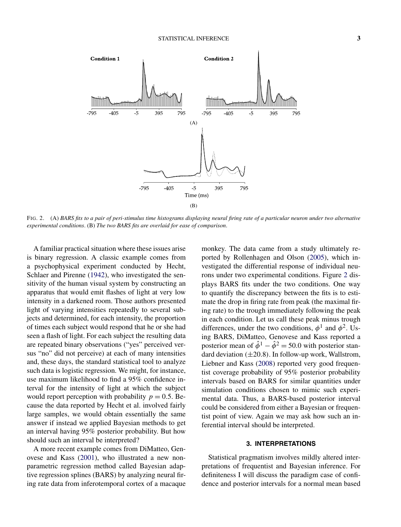

FIG. 2. (A) *BARS fits to a pair of peri-stimulus time histograms displaying neural firing rate of a particular neuron under two alternative experimental conditions*. (B) *The two BARS fits are overlaid for ease of comparison*.

A familiar practical situation where these issues arise is binary regression. A classic example comes from a psychophysical experiment conducted by Hecht, Schlaer and Pirenne [\(1942\)](#page-7-0), who investigated the sensitivity of the human visual system by constructing an apparatus that would emit flashes of light at very low intensity in a darkened room. Those authors presented light of varying intensities repeatedly to several subjects and determined, for each intensity, the proportion of times each subject would respond that he or she had seen a flash of light. For each subject the resulting data are repeated binary observations ("yes" perceived versus "no" did not perceive) at each of many intensities and, these days, the standard statistical tool to analyze such data is logistic regression. We might, for instance, use maximum likelihood to find a 95% confidence interval for the intensity of light at which the subject would report perception with probability  $p = 0.5$ . Because the data reported by Hecht et al. involved fairly large samples, we would obtain essentially the same answer if instead we applied Bayesian methods to get an interval having 95% posterior probability. But how should such an interval be interpreted?

A more recent example comes from DiMatteo, Genovese and Kass [\(2001\)](#page-7-0), who illustrated a new nonparametric regression method called Bayesian adaptive regression splines (BARS) by analyzing neural firing rate data from inferotemporal cortex of a macaque monkey. The data came from a study ultimately reported by Rollenhagen and Olson [\(2005\)](#page-8-0), which investigated the differential response of individual neurons under two experimental conditions. Figure 2 displays BARS fits under the two conditions. One way to quantify the discrepancy between the fits is to estimate the drop in firing rate from peak (the maximal firing rate) to the trough immediately following the peak in each condition. Let us call these peak minus trough differences, under the two conditions,  $\phi^1$  and  $\phi^2$ . Using BARS, DiMatteo, Genovese and Kass reported a posterior mean of  $\hat{\phi}^1 - \hat{\phi}^2 = 50.0$  with posterior standard deviation *(*±20*.*8*)*. In follow-up work, Wallstrom, Liebner and Kass [\(2008\)](#page-8-0) reported very good frequentist coverage probability of 95% posterior probability intervals based on BARS for similar quantities under simulation conditions chosen to mimic such experimental data. Thus, a BARS-based posterior interval could be considered from either a Bayesian or frequentist point of view. Again we may ask how such an inferential interval should be interpreted.

#### **3. INTERPRETATIONS**

Statistical pragmatism involves mildly altered interpretations of frequentist and Bayesian inference. For definiteness I will discuss the paradigm case of confidence and posterior intervals for a normal mean based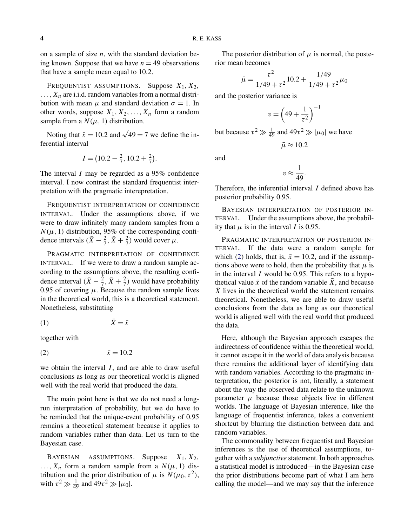and

<span id="page-3-0"></span>on a sample of size *n*, with the standard deviation being known. Suppose that we have  $n = 49$  observations that have a sample mean equal to 10*.*2.

FREQUENTIST ASSUMPTIONS. Suppose  $X_1, X_2$ , *...,Xn* are i.i.d. random variables from a normal distribution with mean  $\mu$  and standard deviation  $\sigma = 1$ . In other words, suppose  $X_1, X_2, \ldots, X_n$  form a random sample from a  $N(\mu, 1)$  distribution.

Noting that  $\bar{x} = 10.2$  and  $\sqrt{49} = 7$  we define the inferential interval

$$
I = (10.2 - \frac{2}{7}, 10.2 + \frac{2}{7}).
$$

The interval *I* may be regarded as a 95% confidence interval. I now contrast the standard frequentist interpretation with the pragmatic interepretation.

FREQUENTIST INTERPRETATION OF CONFIDENCE INTERVAL. Under the assumptions above, if we were to draw infinitely many random samples from a  $N(\mu, 1)$  distribution, 95% of the corresponding confidence intervals  $(\bar{X} - \frac{2}{7}, \bar{X} + \frac{2}{7})$  would cover  $\mu$ .

PRAGMATIC INTERPRETATION OF CONFIDENCE INTERVAL. If we were to draw a random sample according to the assumptions above, the resulting confidence interval  $(\bar{X} - \frac{2}{7}, \bar{X} + \frac{2}{7})$  would have probability 0.95 of covering  $\mu$ . Because the random sample lives in the theoretical world, this is a theoretical statement. Nonetheless, substituting

$$
(1) \t\t X = \bar{x}
$$

together with

$$
\bar{x} = 10.2
$$

we obtain the interval *I*, and are able to draw useful conclusions as long as our theoretical world is aligned well with the real world that produced the data.

The main point here is that we do not need a longrun interpretation of probability, but we do have to be reminded that the unique-event probability of 0.95 remains a theoretical statement because it applies to random variables rather than data. Let us turn to the Bayesian case.

BAYESIAN ASSUMPTIONS. Suppose *X*1*,X*2*,*  $\ldots$ ,  $X_n$  form a random sample from a  $N(\mu, 1)$  distribution and the prior distribution of  $\mu$  is  $N(\mu_0, \tau^2)$ , with  $\tau^2 \gg \frac{1}{49}$  and  $49\tau^2 \gg |\mu_0|$ .

The posterior distribution of  $\mu$  is normal, the posterior mean becomes

$$
\bar{\mu} = \frac{\tau^2}{1/49 + \tau^2} 10.2 + \frac{1/49}{1/49 + \tau^2} \mu_0
$$

and the posterior variance is

$$
v = \left(49 + \frac{1}{\tau^2}\right)^{-1}
$$

but because  $\tau^2 \gg \frac{1}{49}$  and  $49\tau^2 \gg |\mu_0|$  we have

$$
\bar{\mu} \approx 10.2
$$

$$
\mathcal{L}_{\mathcal{A}}(x)
$$

$$
v\approx\frac{1}{49}.
$$

Therefore, the inferential interval *I* defined above has posterior probability 0.95.

BAYESIAN INTERPRETATION OF POSTERIOR IN-TERVAL. Under the assumptions above, the probability that  $\mu$  is in the interval *I* is 0.95.

PRAGMATIC INTERPRETATION OF POSTERIOR IN-TERVAL. If the data were a random sample for which (2) holds, that is,  $\bar{x} = 10.2$ , and if the assumptions above were to hold, then the probability that  $\mu$  is in the interval *I* would be 0.95. This refers to a hypothetical value  $\bar{x}$  of the random variable  $\bar{X}$ , and because  $\overline{X}$  lives in the theoretical world the statement remains theoretical. Nonetheless, we are able to draw useful conclusions from the data as long as our theoretical world is aligned well with the real world that produced the data.

Here, although the Bayesian approach escapes the indirectness of confidence within the theoretical world, it cannot escape it in the world of data analysis because there remains the additional layer of identifying data with random variables. According to the pragmatic interpretation, the posterior is not, literally, a statement about the way the observed data relate to the unknown parameter  $\mu$  because those objects live in different worlds. The language of Bayesian inference, like the language of frequentist inference, takes a convenient shortcut by blurring the distinction between data and random variables.

The commonality between frequentist and Bayesian inferences is the use of theoretical assumptions, together with a *subjunctive* statement. In both approaches a statistical model is introduced—in the Bayesian case the prior distributions become part of what I am here calling the model—and we may say that the inference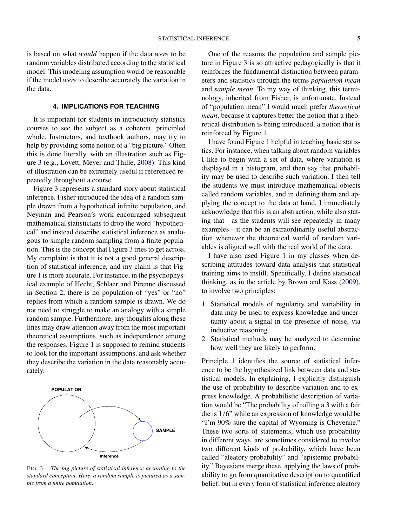<span id="page-4-0"></span>is based on what *would* happen if the data *were* to be random variables distributed according to the statistical model. This modeling assumption would be reasonable if the model *were* to describe accurately the variation in the data.

### **4. IMPLICATIONS FOR TEACHING**

It is important for students in introductory statistics courses to see the subject as a coherent, principled whole. Instructors, and textbook authors, may try to help by providing some notion of a "big picture." Often this is done literally, with an illustration such as Figure 3 (e.g., Lovett, Meyer and Thille, [2008\)](#page-8-0). This kind of illustration can be extremely useful if referenced repeatedly throughout a course.

Figure 3 represents a standard story about statistical inference. Fisher introduced the idea of a random sample drawn from a hypothetical infinite population, and Neyman and Pearson's work encouraged subsequent mathematical statisticians to drop the word "hypothetical" and instead describe statistical inference as analogous to simple random sampling from a finite population. This is the concept that Figure 3 tries to get across. My complaint is that it is not a good general description of statistical inference, and my claim is that Figure [1](#page-1-0) is more accurate. For instance, in the psychophysical example of Hecht, Schlaer and Pirenne discussed in Section [2,](#page-0-0) there is no population of "yes" or "no" replies from which a random sample is drawn. We do not need to struggle to make an analogy with a simple random sample. Furthermore, any thoughts along these lines may draw attention away from the most important theoretical assumptions, such as independence among the responses. Figure [1](#page-1-0) is supposed to remind students to look for the important assumptions, and ask whether they describe the variation in the data reasonably accurately.



FIG. 3. *The big picture of statistical inference according to the standard conception*. *Here*, *a random sample is pictured as a sample from a finite population*.

One of the reasons the population and sample picture in Figure 3 is so attractive pedagogically is that it reinforces the fundamental distinction between parameters and statistics through the terms *population mean* and *sample mean*. To my way of thinking, this terminology, inherited from Fisher, is unfortunate. Instead of "population mean" I would much prefer *theoretical mean*, because it captures better the notion that a theoretical distribution is being introduced, a notion that is reinforced by Figure [1.](#page-1-0)

I have found Figure [1](#page-1-0) helpful in teaching basic statistics. For instance, when talking about random variables I like to begin with a set of data, where variation is displayed in a histogram, and then say that probability may be used to describe such variation. I then tell the students we must introduce mathematical objects called random variables, and in defining them and applying the concept to the data at hand, I immediately acknowledge that this is an abstraction, while also stating that—as the students will see repeatedly in many examples—it can be an extraordinarily useful abstraction whenever the theoretical world of random variables is aligned well with the real world of the data.

I have also used Figure [1](#page-1-0) in my classes when describing attitudes toward data analysis that statistical training aims to instill. Specifically, I define statistical thinking, as in the article by Brown and Kass [\(2009\)](#page-7-0), to involve two principles:

- 1. Statistical models of regularity and variability in data may be used to express knowledge and uncertainty about a signal in the presence of noise, via inductive reasoning.
- 2. Statistical methods may be analyzed to determine how well they are likely to perform.

Principle 1 identifies the source of statistical inference to be the hypothesized link between data and statistical models. In explaining, I explicitly distinguish the use of probability to describe variation and to express knowledge. A probabilistic description of variation would be "The probability of rolling a 3 with a fair die is 1*/*6" while an expression of knowledge would be "I'm 90% sure the capital of Wyoming is Cheyenne." These two sorts of statements, which use probability in different ways, are sometimes considered to involve two different kinds of probability, which have been called "aleatory probability" and "epistemic probability." Bayesians merge these, applying the laws of probability to go from quantitative description to quantified belief, but in every form of statistical inference aleatory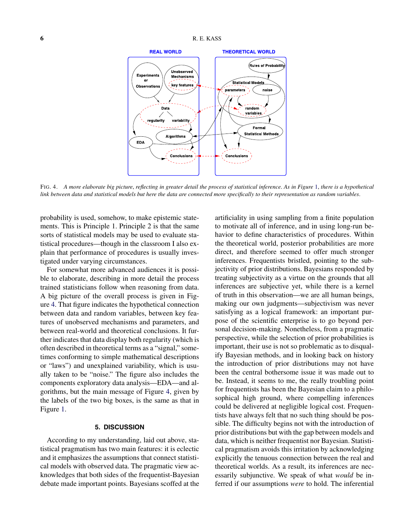

FIG. 4. *A more elaborate big picture*, *reflecting in greater detail the process of statistical inference*. *As in Figure* [1,](#page-1-0) *there is a hypothetical link between data and statistical models but here the data are connected more specifically to their representation as random variables*.

probability is used, somehow, to make epistemic statements. This is Principle 1. Principle 2 is that the same sorts of statistical models may be used to evaluate statistical procedures—though in the classroom I also explain that performance of procedures is usually investigated under varying circumstances.

For somewhat more advanced audiences it is possible to elaborate, describing in more detail the process trained statisticians follow when reasoning from data. A big picture of the overall process is given in Figure 4. That figure indicates the hypothetical connection between data and random variables, between key features of unobserved mechanisms and parameters, and between real-world and theoretical conclusions. It further indicates that data display both regularity (which is often described in theoretical terms as a "signal," sometimes conforming to simple mathematical descriptions or "laws") and unexplained variability, which is usually taken to be "noise." The figure also includes the components exploratory data analysis—EDA—and algorithms, but the main message of Figure 4, given by the labels of the two big boxes, is the same as that in Figure [1.](#page-1-0)

#### **5. DISCUSSION**

According to my understanding, laid out above, statistical pragmatism has two main features: it is eclectic and it emphasizes the assumptions that connect statistical models with observed data. The pragmatic view acknowledges that both sides of the frequentist-Bayesian debate made important points. Bayesians scoffed at the

artificiality in using sampling from a finite population to motivate all of inference, and in using long-run behavior to define characteristics of procedures. Within the theoretical world, posterior probabilities are more direct, and therefore seemed to offer much stronger inferences. Frequentists bristled, pointing to the subjectivity of prior distributions. Bayesians responded by treating subjectivity as a virtue on the grounds that all inferences are subjective yet, while there is a kernel of truth in this observation—we are all human beings, making our own judgments—subjectivism was never satisfying as a logical framework: an important purpose of the scientific enterprise is to go beyond personal decision-making. Nonetheless, from a pragmatic perspective, while the selection of prior probabilities is important, their use is not so problematic as to disqualify Bayesian methods, and in looking back on history the introduction of prior distributions may not have been the central bothersome issue it was made out to be. Instead, it seems to me, the really troubling point for frequentists has been the Bayesian claim to a philosophical high ground, where compelling inferences could be delivered at negligible logical cost. Frequentists have always felt that no such thing should be possible. The difficulty begins not with the introduction of prior distributions but with the gap between models and data, which is neither frequentist nor Bayesian. Statistical pragmatism avoids this irritation by acknowledging explicitly the tenuous connection between the real and theoretical worlds. As a result, its inferences are necessarily subjunctive. We speak of what *would* be inferred if our assumptions *were* to hold. The inferential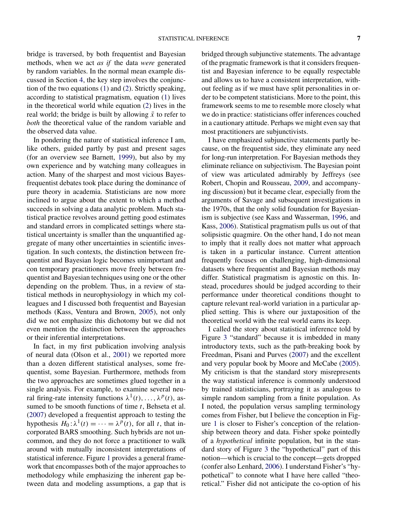bridge is traversed, by both frequentist and Bayesian methods, when we act *as if* the data *were* generated by random variables. In the normal mean example discussed in Section [4,](#page-4-0) the key step involves the conjunction of the two equations [\(1\)](#page-3-0) and [\(2\)](#page-3-0). Strictly speaking, according to statistical pragmatism, equation [\(1\)](#page-3-0) lives in the theoretical world while equation [\(2\)](#page-3-0) lives in the real world; the bridge is built by allowing  $\bar{x}$  to refer to *both* the theoretical value of the random variable and the observed data value.

In pondering the nature of statistical inference I am, like others, guided partly by past and present sages (for an overview see Barnett, [1999\)](#page-7-0), but also by my own experience and by watching many colleagues in action. Many of the sharpest and most vicious Bayesfrequentist debates took place during the dominance of pure theory in academia. Statisticians are now more inclined to argue about the extent to which a method succeeds in solving a data analytic problem. Much statistical practice revolves around getting good estimates and standard errors in complicated settings where statistical uncertainty is smaller than the unquantified aggregate of many other uncertainties in scientific investigation. In such contexts, the distinction between frequentist and Bayesian logic becomes unimportant and con temporary practitioners move freely between frequentist and Bayesian techniques using one or the other depending on the problem. Thus, in a review of statistical methods in neurophysiology in which my colleagues and I discussed both frequentist and Bayesian methods (Kass, Ventura and Brown, [2005\)](#page-7-0), not only did we not emphasize this dichotomy but we did not even mention the distinction between the approaches or their inferential interpretations.

In fact, in my first publication involving analysis of neural data (Olson et al., [2001\)](#page-8-0) we reported more than a dozen different statistical analyses, some frequentist, some Bayesian. Furthermore, methods from the two approaches are sometimes glued together in a single analysis. For example, to examine several neural firing-rate intensity functions  $\lambda^1(t), \ldots, \lambda^p(t)$ , assumed to be smooth functions of time *t*, Behseta et al. [\(2007\)](#page-7-0) developed a frequentist approach to testing the hypothesis  $H_0: \lambda^1(t) = \cdots = \lambda^p(t)$ , for all *t*, that incorporated BARS smoothing. Such hybrids are not uncommon, and they do not force a practitioner to walk around with mutually inconsistent interpretations of statistical inference. Figure [1](#page-1-0) provides a general framework that encompasses both of the major approaches to methodology while emphasizing the inherent gap between data and modeling assumptions, a gap that is bridged through subjunctive statements. The advantage of the pragmatic framework is that it considers frequentist and Bayesian inference to be equally respectable and allows us to have a consistent interpretation, without feeling as if we must have split personalities in order to be competent statisticians. More to the point, this framework seems to me to resemble more closely what we do in practice: statisticians offer inferences couched in a cautionary attitude. Perhaps we might even say that most practitioners are subjunctivists.

I have emphasized subjunctive statements partly because, on the frequentist side, they eliminate any need for long-run interpretation. For Bayesian methods they eliminate reliance on subjectivism. The Bayesian point of view was articulated admirably by Jeffreys (see Robert, Chopin and Rousseau, [2009,](#page-8-0) and accompanying discussion) but it became clear, especially from the arguments of Savage and subsequent investigations in the 1970s, that the only solid foundation for Bayesianism is subjective (see Kass and Wasserman, [1996,](#page-7-0) and Kass, [2006\)](#page-7-0). Statistical pragmatism pulls us out of that solipsistic quagmire. On the other hand, I do not mean to imply that it really does not matter what approach is taken in a particular instance. Current attention frequently focuses on challenging, high-dimensional datasets where frequentist and Bayesian methods may differ. Statistical pragmatism is agnostic on this. Instead, procedures should be judged according to their performance under theoretical conditions thought to capture relevant real-world variation in a particular applied setting. This is where our juxtaposition of the theoretical world with the real world earns its keep.

I called the story about statistical inference told by Figure [3](#page-4-0) "standard" because it is imbedded in many introductory texts, such as the path-breaking book by Freedman, Pisani and Purves [\(2007\)](#page-7-0) and the excellent and very popular book by Moore and McCabe [\(2005\)](#page-8-0). My criticism is that the standard story misrepresents the way statistical inference is commonly understood by trained statisticians, portraying it as analogous to simple random sampling from a finite population. As I noted, the population versus sampling terminology comes from Fisher, but I believe the conception in Figure [1](#page-1-0) is closer to Fisher's conception of the relationship between theory and data. Fisher spoke pointedly of a *hypothetical* infinite population, but in the standard story of Figure [3](#page-4-0) the "hypothetical" part of this notion—which is crucial to the concept—gets dropped (confer also Lenhard, [2006\)](#page-8-0). I understand Fisher's "hypothetical" to connote what I have here called "theoretical." Fisher did not anticipate the co-option of his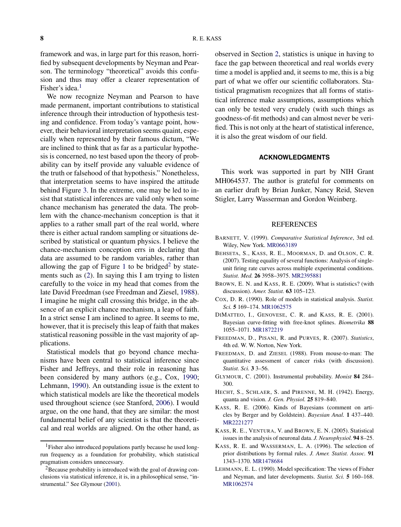<span id="page-7-0"></span>framework and was, in large part for this reason, horrified by subsequent developments by Neyman and Pearson. The terminology "theoretical" avoids this confusion and thus may offer a clearer representation of Fisher's idea. $<sup>1</sup>$ </sup>

We now recognize Neyman and Pearson to have made permanent, important contributions to statistical inference through their introduction of hypothesis testing and confidence. From today's vantage point, however, their behavioral interpretation seems quaint, especially when represented by their famous dictum, "We are inclined to think that as far as a particular hypothesis is concerned, no test based upon the theory of probability can by itself provide any valuable evidence of the truth or falsehood of that hypothesis." Nonetheless, that interpretation seems to have inspired the attitude behind Figure [3.](#page-4-0) In the extreme, one may be led to insist that statistical inferences are valid only when some chance mechanism has generated the data. The problem with the chance-mechanism conception is that it applies to a rather small part of the real world, where there is either actual random sampling or situations described by statistical or quantum physics. I believe the chance-mechanism conception errs in declaring that data are assumed to be random variables, rather than allowing the gap of Figure [1](#page-1-0) to be bridged<sup>2</sup> by statements such as [\(2\)](#page-3-0). In saying this I am trying to listen carefully to the voice in my head that comes from the late David Freedman (see Freedman and Ziesel, 1988). I imagine he might call crossing this bridge, in the absence of an explicit chance mechanism, a leap of faith. In a strict sense I am inclined to agree. It seems to me, however, that it is precisely this leap of faith that makes statistical reasoning possible in the vast majority of applications.

Statistical models that go beyond chance mechanisms have been central to statistical inference since Fisher and Jeffreys, and their role in reasoning has been considered by many authors (e.g., Cox, 1990; Lehmann, 1990). An outstanding issue is the extent to which statistical models are like the theoretical models used throughout science (see Stanford, [2006\)](#page-8-0). I would argue, on the one hand, that they are similar: the most fundamental belief of any scientist is that the theoretical and real worlds are aligned. On the other hand, as observed in Section [2,](#page-0-0) statistics is unique in having to face the gap between theoretical and real worlds every time a model is applied and, it seems to me, this is a big part of what we offer our scientific collaborators. Statistical pragmatism recognizes that all forms of statistical inference make assumptions, assumptions which can only be tested very crudely (with such things as goodness-of-fit methods) and can almost never be verified. This is not only at the heart of statistical inference, it is also the great wisdom of our field.

## **ACKNOWLEDGMENTS**

This work was supported in part by NIH Grant MH064537. The author is grateful for comments on an earlier draft by Brian Junker, Nancy Reid, Steven Stigler, Larry Wasserman and Gordon Weinberg.

#### REFERENCES

- BARNETT, V. (1999). *Comparative Statistical Inference*, 3rd ed. Wiley, New York. [MR0663189](http://www.ams.org/mathscinet-getitem?mr=0663189)
- BEHSETA, S., KASS, R. E., MOORMAN, D. and OLSON, C. R. (2007). Testing equality of several functions: Analysis of singleunit firing rate curves across multiple experimental conditions. *Statist. Med.* **26** 3958–3975. [MR2395881](http://www.ams.org/mathscinet-getitem?mr=2395881)
- BROWN, E. N. and KASS, R. E. (2009). What is statistics? (with discussion). *Amer. Statist.* **63** 105–123.
- COX, D. R. (1990). Role of models in statistical analysis. *Statist. Sci.* **5** 169–174. [MR1062575](http://www.ams.org/mathscinet-getitem?mr=1062575)
- DIMATTEO, I., GENOVESE, C. R. and KASS, R. E. (2001). Bayesian curve-fitting with free-knot splines. *Biometrika* **88** 1055–1071. [MR1872219](http://www.ams.org/mathscinet-getitem?mr=1872219)
- FREEDMAN, D., PISANI, R. and PURVES, R. (2007). *Statistics*, 4th ed. W. W. Norton, New York.
- FREEDMAN, D. and ZIESEL (1988). From mouse-to-man: The quantitative assessment of cancer risks (with discussion). *Statist. Sci.* **3** 3–56.
- GLYMOUR, C. (2001). Instrumental probability. *Monist* **84** 284– 300.
- HECHT, S., SCHLAER, S. and PIRENNE, M. H. (1942). Energy, quanta and vision. *J. Gen. Physiol.* **25** 819–840.
- KASS, R. E. (2006). Kinds of Bayesians (comment on articles by Berger and by Goldstein). *Bayesian Anal.* **1** 437–440. [MR2221277](http://www.ams.org/mathscinet-getitem?mr=2221277)
- KASS, R. E., VENTURA, V. and BROWN, E. N. (2005). Statistical issues in the analysis of neuronal data. *J. Neurophysiol.* **94** 8–25.
- KASS, R. E. and WASSERMAN, L. A. (1996). The selection of prior distributions by formal rules. *J. Amer. Statist. Assoc.* **91** 1343–1370. [MR1478684](http://www.ams.org/mathscinet-getitem?mr=1478684)
- LEHMANN, E. L. (1990). Model specification: The views of Fisher and Neyman, and later developments. *Statist. Sci.* **5** 160–168. [MR1062574](http://www.ams.org/mathscinet-getitem?mr=1062574)

<sup>&</sup>lt;sup>1</sup>Fisher also introduced populations partly because he used longrun frequency as a foundation for probability, which statistical pragmatism considers unnecessary.

 $2B$  Because probability is introduced with the goal of drawing conclusions via statistical inference, it is, in a philosophical sense, "instrumental." See Glymour (2001).